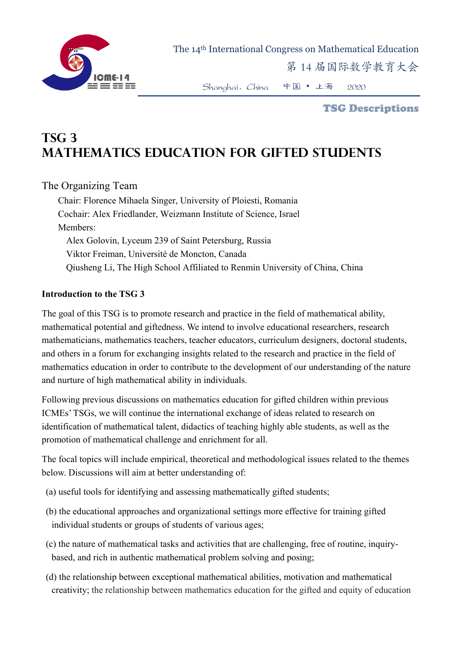

The 14th International Congress on Mathematical Education

第 14 届国际数学教育大会

Shanghai,China 中国 • 上海 2020

TSG Descriptions

# **TSG 3 Mathematics Education for Gifted Students**

# The Organizing Team

Chair: Florence Mihaela Singer, University of Ploiesti, Romania Cochair: Alex Friedlander, Weizmann Institute of Science, Israel Members: Alex Golovin, Lyceum 239 of Saint Petersburg, Russia Viktor Freiman, Université de Moncton, Canada Qiusheng Li, The High School Affiliated to Renmin University of China, China

#### **Introduction to the TSG 3**

The goal of this TSG is to promote research and practice in the field of mathematical ability, mathematical potential and giftedness. We intend to involve educational researchers, research mathematicians, mathematics teachers, teacher educators, curriculum designers, doctoral students, and others in a forum for exchanging insights related to the research and practice in the field of mathematics education in order to contribute to the development of our understanding of the nature and nurture of high mathematical ability in individuals.

Following previous discussions on mathematics education for gifted children within previous ICMEs' TSGs, we will continue the international exchange of ideas related to research on identification of mathematical talent, didactics of teaching highly able students, as well as the promotion of mathematical challenge and enrichment for all.

The focal topics will include empirical, theoretical and methodological issues related to the themes below. Discussions will aim at better understanding of:

- (a) useful tools for identifying and assessing mathematically gifted students;
- (b) the educational approaches and organizational settings more effective for training gifted individual students or groups of students of various ages;
- (c) the nature of mathematical tasks and activities that are challenging, free of routine, inquirybased, and rich in authentic mathematical problem solving and posing;
- (d) the relationship between exceptional mathematical abilities, motivation and mathematical creativity; the relationship between mathematics education for the gifted and equity of education